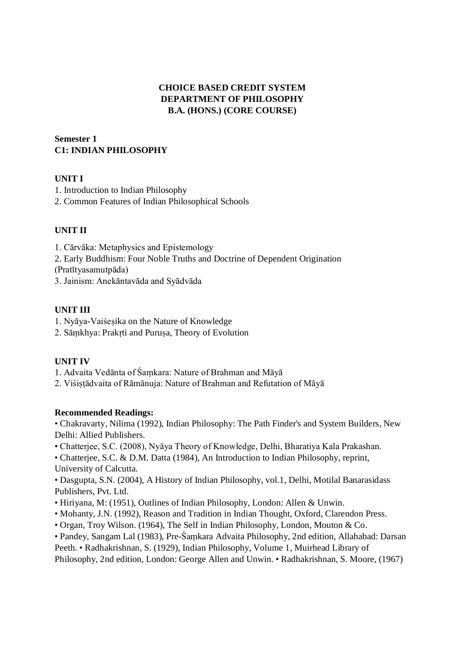# **CHOICE BASED CREDIT SYSTEM DEPARTMENT OF PHILOSOPHY B.A. (HONS.) (CORE COURSE)**

# **Semester 1 C1: INDIAN PHILOSOPHY**

### **UNIT I**

1. Introduction to Indian Philosophy

2. Common Features of Indian Philosophical Schools

# **UNIT II**

1. Cārvāka: Metaphysics and Epistemology

2. Early Buddhism: Four Noble Truths and Doctrine of Dependent Origination

(Pratītyasamutpāda)

3. Jainism: Anekāntavāda and Syādvāda

### **UNIT III**

- 1. Nyāya-Vaiśeṣika on the Nature of Knowledge
- 2. Sāmkhya: Prakrti and Purusa, Theory of Evolution

# **UNIT IV**

1. Advaita Vedānta of Śaṃkara: Nature of Brahman and Māyā

2. Viśiṣṭādvaita of Rāmānuja: Nature of Brahman and Refutation of Māyā

#### **Recommended Readings:**

• Chakravarty, Nilima (1992), Indian Philosophy: The Path Finder's and System Builders, New Delhi: Allied Publishers.

• Chatterjee, S.C. (2008), Nyāya Theory of Knowledge, Delhi, Bharatiya Kala Prakashan.

• Chatterjee, S.C. & D.M. Datta (1984), An Introduction to Indian Philosophy, reprint, University of Calcutta.

• Dasgupta, S.N. (2004), A History of Indian Philosophy, vol.1, Delhi, Motilal Banarasidass Publishers, Pvt. Ltd.

- Hiriyana, M: (1951), Outlines of Indian Philosophy, London: Allen & Unwin.
- Mohanty, J.N. (1992), Reason and Tradition in Indian Thought, Oxford, Clarendon Press.
- Organ, Troy Wilson. (1964), The Self in Indian Philosophy, London, Mouton & Co.

• Pandey, Sangam Lal (1983), Pre-Śaṃkara Advaita Philosophy, 2nd edition, Allahabad: Darsan Peeth. • Radhakrishnan, S. (1929), Indian Philosophy, Volume 1, Muirhead Library of Philosophy, 2nd edition, London: George Allen and Unwin. • Radhakrishnan, S. Moore, (1967)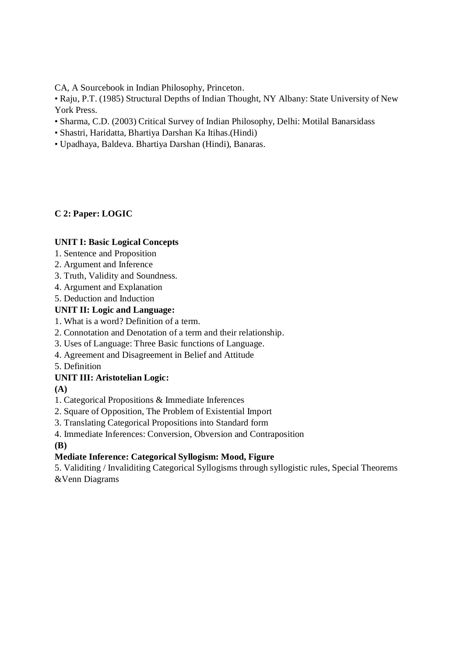CA, A Sourcebook in Indian Philosophy, Princeton.

• Raju, P.T. (1985) Structural Depths of Indian Thought, NY Albany: State University of New York Press.

- Sharma, C.D. (2003) Critical Survey of Indian Philosophy, Delhi: Motilal Banarsidass
- Shastri, Haridatta, Bhartiya Darshan Ka Itihas.(Hindi)
- Upadhaya, Baldeva. Bhartiya Darshan (Hindi), Banaras.

### **C 2: Paper: LOGIC**

#### **UNIT I: Basic Logical Concepts**

- 1. Sentence and Proposition
- 2. Argument and Inference
- 3. Truth, Validity and Soundness.
- 4. Argument and Explanation

5. Deduction and Induction

### **UNIT II: Logic and Language:**

- 1. What is a word? Definition of a term.
- 2. Connotation and Denotation of a term and their relationship.
- 3. Uses of Language: Three Basic functions of Language.
- 4. Agreement and Disagreement in Belief and Attitude
- 5. Definition

# **UNIT III: Aristotelian Logic:**

**(A)**

# 1. Categorical Propositions & Immediate Inferences

2. Square of Opposition, The Problem of Existential Import

3. Translating Categorical Propositions into Standard form

4. Immediate Inferences: Conversion, Obversion and Contraposition

**(B)**

# **Mediate Inference: Categorical Syllogism: Mood, Figure**

5. Validiting / Invaliditing Categorical Syllogisms through syllogistic rules, Special Theorems &Venn Diagrams